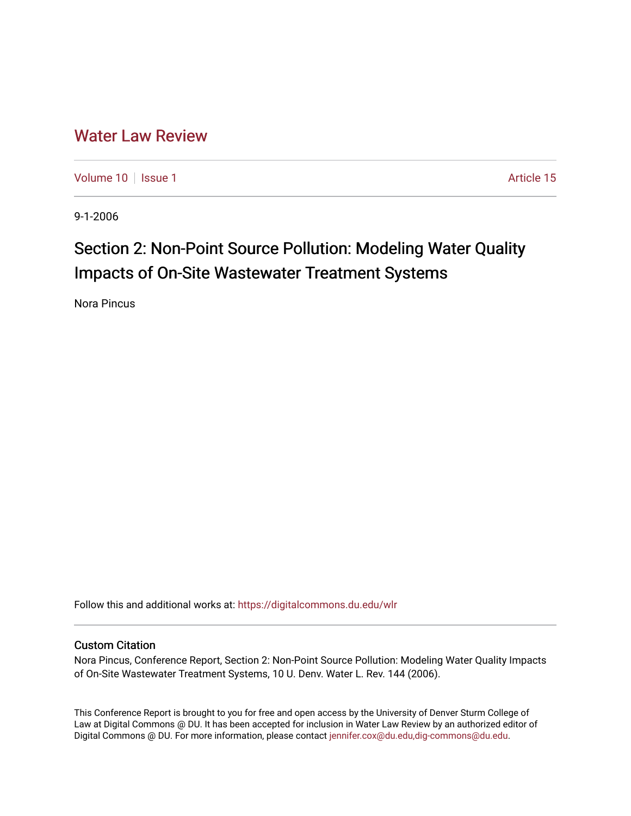## [Water Law Review](https://digitalcommons.du.edu/wlr)

[Volume 10](https://digitalcommons.du.edu/wlr/vol10) | [Issue 1](https://digitalcommons.du.edu/wlr/vol10/iss1) Article 15

9-1-2006

# Section 2: Non-Point Source Pollution: Modeling Water Quality Impacts of On-Site Wastewater Treatment Systems

Nora Pincus

Follow this and additional works at: [https://digitalcommons.du.edu/wlr](https://digitalcommons.du.edu/wlr?utm_source=digitalcommons.du.edu%2Fwlr%2Fvol10%2Fiss1%2F15&utm_medium=PDF&utm_campaign=PDFCoverPages) 

### Custom Citation

Nora Pincus, Conference Report, Section 2: Non-Point Source Pollution: Modeling Water Quality Impacts of On-Site Wastewater Treatment Systems, 10 U. Denv. Water L. Rev. 144 (2006).

This Conference Report is brought to you for free and open access by the University of Denver Sturm College of Law at Digital Commons @ DU. It has been accepted for inclusion in Water Law Review by an authorized editor of Digital Commons @ DU. For more information, please contact [jennifer.cox@du.edu,dig-commons@du.edu](mailto:jennifer.cox@du.edu,dig-commons@du.edu).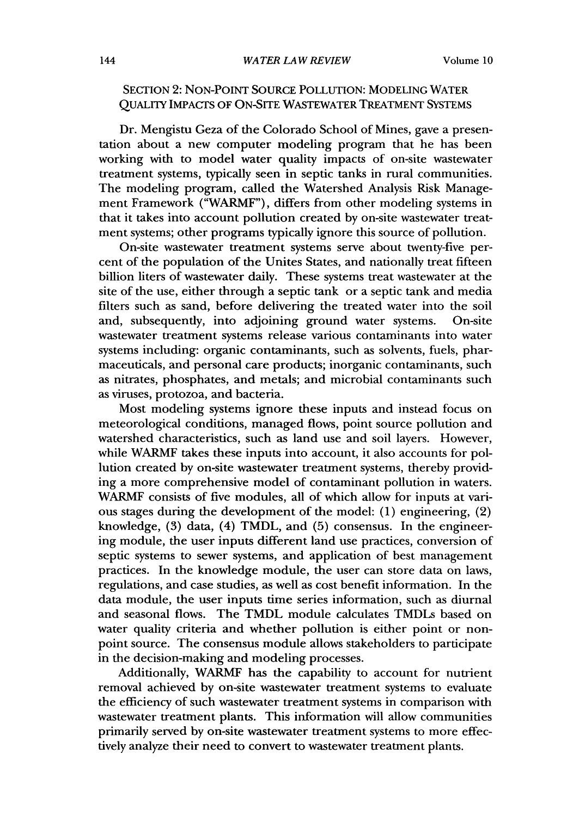### SECTION 2: NoN-POINT SOURCE POLLUTION: MODELING WATER QUALITY IMPACTS OF ON-SITE WASTEWATER TREATMENT SYSTEMS

Dr. Mengistu Geza of the Colorado School of Mines, gave a presentation about a new computer modeling program that he has been working with to model water quality impacts of on-site wastewater treatment systems, typically seen in septic tanks in rural communities. The modeling program, called the Watershed Analysis Risk Management Framework ("WARMF"), differs from other modeling systems in that it takes into account pollution created by on-site wastewater treatment systems; other programs typically ignore this source of pollution.

On-site wastewater treatment systems serve about twenty-five percent of the population of the Unites States, and nationally treat fifteen billion liters of wastewater daily. These systems treat wastewater at the site of the use, either through a septic tank or a septic tank and media filters such as sand, before delivering the treated water into the soil and, subsequently, into adjoining ground water systems. On-site wastewater treatment systems release various contaminants into water systems including: organic contaminants, such as solvents, fuels, pharmaceuticals, and personal care products; inorganic contaminants, such as nitrates, phosphates, and metals; and microbial contaminants such as viruses, protozoa, and bacteria.

Most modeling systems ignore these inputs and instead focus on meteorological conditions, managed flows, point source pollution and watershed characteristics, such as land use and soil layers. However, while WARMF takes these inputs into account, it also accounts for pollution created by on-site wastewater treatment systems, thereby providing a more comprehensive model of contaminant pollution in waters. WARMF consists of five modules, all of which allow for inputs at various stages during the development of the model: (1) engineering, (2) knowledge, (3) data, (4) TMDL, and (5) consensus. In the engineering module, the user inputs different land use practices, conversion of septic systems to sewer systems, and application of best management practices. In the knowledge module, the user can store data on laws, regulations, and case studies, as well as cost benefit information. In the data module, the user inputs time series information, such as diurnal and seasonal flows. The TMDL module calculates TMDLs based on water quality criteria and whether pollution is either point or nonpoint source. The consensus module allows stakeholders to participate in the decision-making and modeling processes.

Additionally, WARMF has the capability to account for nutrient removal achieved by on-site wastewater treatment systems to evaluate the efficiency of such wastewater treatment systems in comparison with wastewater treatment plants. This information will allow communities primarily served by on-site wastewater treatment systems to more effectively analyze their need to convert to wastewater treatment plants.